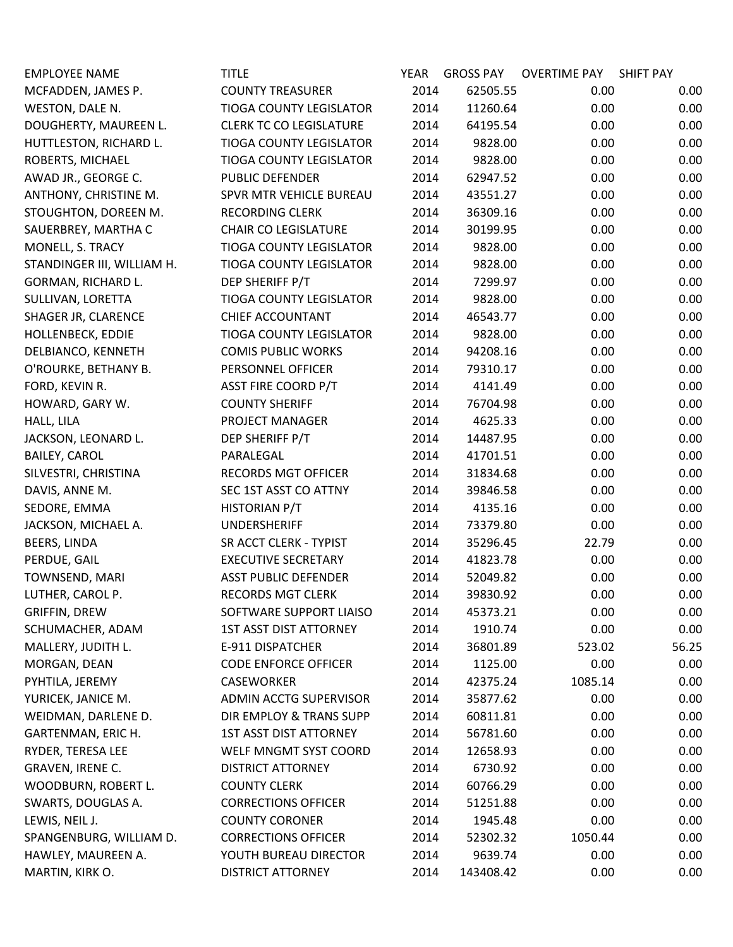| <b>EMPLOYEE NAME</b>       | <b>TITLE</b>                   | YEAR | <b>GROSS PAY</b> | <b>OVERTIME PAY</b> | SHIFT PAY |
|----------------------------|--------------------------------|------|------------------|---------------------|-----------|
| MCFADDEN, JAMES P.         | <b>COUNTY TREASURER</b>        | 2014 | 62505.55         | 0.00                | 0.00      |
| WESTON, DALE N.            | <b>TIOGA COUNTY LEGISLATOR</b> | 2014 | 11260.64         | 0.00                | 0.00      |
| DOUGHERTY, MAUREEN L.      | <b>CLERK TC CO LEGISLATURE</b> | 2014 | 64195.54         | 0.00                | 0.00      |
| HUTTLESTON, RICHARD L.     | <b>TIOGA COUNTY LEGISLATOR</b> | 2014 | 9828.00          | 0.00                | 0.00      |
| ROBERTS, MICHAEL           | <b>TIOGA COUNTY LEGISLATOR</b> | 2014 | 9828.00          | 0.00                | 0.00      |
| AWAD JR., GEORGE C.        | PUBLIC DEFENDER                | 2014 | 62947.52         | 0.00                | 0.00      |
| ANTHONY, CHRISTINE M.      | SPVR MTR VEHICLE BUREAU        | 2014 | 43551.27         | 0.00                | 0.00      |
| STOUGHTON, DOREEN M.       | <b>RECORDING CLERK</b>         | 2014 | 36309.16         | 0.00                | 0.00      |
| SAUERBREY, MARTHA C        | <b>CHAIR CO LEGISLATURE</b>    | 2014 | 30199.95         | 0.00                | 0.00      |
| MONELL, S. TRACY           | <b>TIOGA COUNTY LEGISLATOR</b> | 2014 | 9828.00          | 0.00                | 0.00      |
| STANDINGER III, WILLIAM H. | <b>TIOGA COUNTY LEGISLATOR</b> | 2014 | 9828.00          | 0.00                | 0.00      |
| GORMAN, RICHARD L.         | DEP SHERIFF P/T                | 2014 | 7299.97          | 0.00                | 0.00      |
| SULLIVAN, LORETTA          | <b>TIOGA COUNTY LEGISLATOR</b> | 2014 | 9828.00          | 0.00                | 0.00      |
| SHAGER JR, CLARENCE        | <b>CHIEF ACCOUNTANT</b>        | 2014 | 46543.77         | 0.00                | 0.00      |
| <b>HOLLENBECK, EDDIE</b>   | <b>TIOGA COUNTY LEGISLATOR</b> | 2014 | 9828.00          | 0.00                | 0.00      |
| DELBIANCO, KENNETH         | <b>COMIS PUBLIC WORKS</b>      | 2014 | 94208.16         | 0.00                | 0.00      |
| O'ROURKE, BETHANY B.       | PERSONNEL OFFICER              | 2014 | 79310.17         | 0.00                | 0.00      |
| FORD, KEVIN R.             | <b>ASST FIRE COORD P/T</b>     | 2014 | 4141.49          | 0.00                | 0.00      |
| HOWARD, GARY W.            | <b>COUNTY SHERIFF</b>          | 2014 | 76704.98         | 0.00                | 0.00      |
| HALL, LILA                 | PROJECT MANAGER                | 2014 | 4625.33          | 0.00                | 0.00      |
| JACKSON, LEONARD L.        | DEP SHERIFF P/T                | 2014 | 14487.95         | 0.00                | 0.00      |
| <b>BAILEY, CAROL</b>       | PARALEGAL                      | 2014 | 41701.51         | 0.00                | 0.00      |
| SILVESTRI, CHRISTINA       | <b>RECORDS MGT OFFICER</b>     | 2014 | 31834.68         | 0.00                | 0.00      |
| DAVIS, ANNE M.             | SEC 1ST ASST CO ATTNY          | 2014 | 39846.58         | 0.00                | 0.00      |
| SEDORE, EMMA               | HISTORIAN P/T                  | 2014 | 4135.16          | 0.00                | 0.00      |
| JACKSON, MICHAEL A.        | <b>UNDERSHERIFF</b>            | 2014 | 73379.80         | 0.00                | 0.00      |
| BEERS, LINDA               | SR ACCT CLERK - TYPIST         | 2014 | 35296.45         | 22.79               | 0.00      |
| PERDUE, GAIL               | <b>EXECUTIVE SECRETARY</b>     | 2014 | 41823.78         | 0.00                | 0.00      |
| TOWNSEND, MARI             | <b>ASST PUBLIC DEFENDER</b>    | 2014 | 52049.82         | 0.00                | 0.00      |
| LUTHER, CAROL P.           | <b>RECORDS MGT CLERK</b>       | 2014 | 39830.92         | 0.00                | 0.00      |
| <b>GRIFFIN, DREW</b>       | SOFTWARE SUPPORT LIAISO        | 2014 | 45373.21         | 0.00                | 0.00      |
| SCHUMACHER, ADAM           | <b>1ST ASST DIST ATTORNEY</b>  | 2014 | 1910.74          | 0.00                | 0.00      |
| MALLERY, JUDITH L.         | E-911 DISPATCHER               | 2014 | 36801.89         | 523.02              | 56.25     |
| MORGAN, DEAN               | <b>CODE ENFORCE OFFICER</b>    | 2014 | 1125.00          | 0.00                | 0.00      |
| PYHTILA, JEREMY            | <b>CASEWORKER</b>              | 2014 | 42375.24         | 1085.14             | 0.00      |
| YURICEK, JANICE M.         | ADMIN ACCTG SUPERVISOR         | 2014 | 35877.62         | 0.00                | 0.00      |
| WEIDMAN, DARLENE D.        | DIR EMPLOY & TRANS SUPP        | 2014 | 60811.81         | 0.00                | 0.00      |
| GARTENMAN, ERIC H.         | <b>1ST ASST DIST ATTORNEY</b>  | 2014 | 56781.60         | 0.00                | 0.00      |
| RYDER, TERESA LEE          | WELF MNGMT SYST COORD          | 2014 | 12658.93         | 0.00                | 0.00      |
| GRAVEN, IRENE C.           | <b>DISTRICT ATTORNEY</b>       | 2014 | 6730.92          | 0.00                | 0.00      |
| WOODBURN, ROBERT L.        | <b>COUNTY CLERK</b>            | 2014 | 60766.29         | 0.00                | 0.00      |
| SWARTS, DOUGLAS A.         | <b>CORRECTIONS OFFICER</b>     | 2014 | 51251.88         | 0.00                | 0.00      |
| LEWIS, NEIL J.             | <b>COUNTY CORONER</b>          | 2014 | 1945.48          | 0.00                | 0.00      |
| SPANGENBURG, WILLIAM D.    | <b>CORRECTIONS OFFICER</b>     | 2014 | 52302.32         | 1050.44             | 0.00      |
| HAWLEY, MAUREEN A.         | YOUTH BUREAU DIRECTOR          | 2014 | 9639.74          | 0.00                | 0.00      |
| MARTIN, KIRK O.            | <b>DISTRICT ATTORNEY</b>       | 2014 | 143408.42        | 0.00                | 0.00      |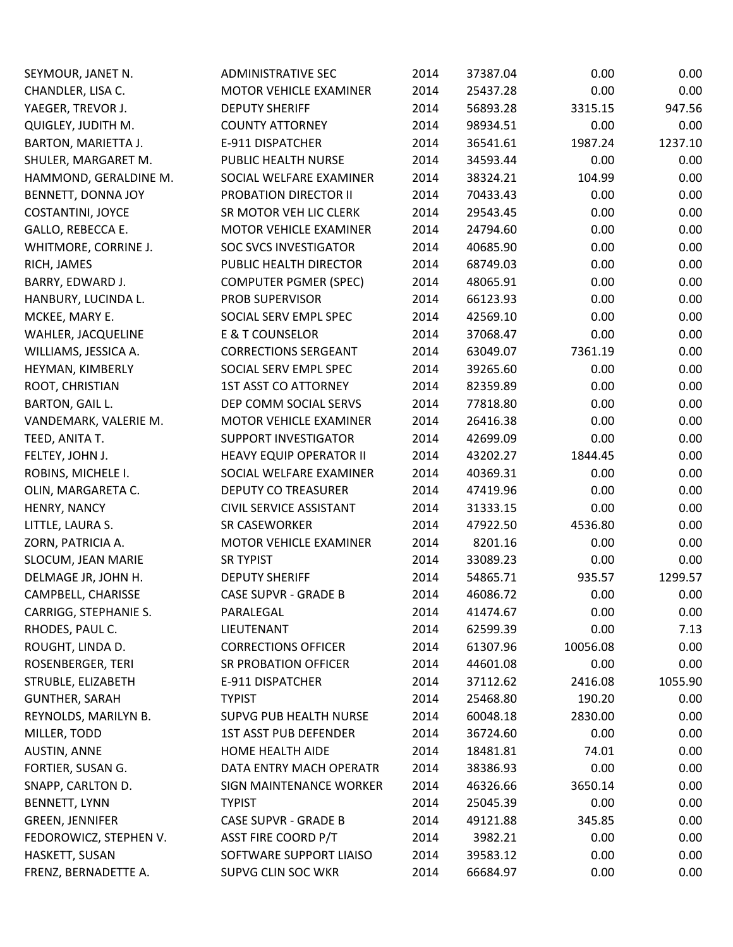| SEYMOUR, JANET N.          | <b>ADMINISTRATIVE SEC</b>      | 2014 | 37387.04 | 0.00     | 0.00    |
|----------------------------|--------------------------------|------|----------|----------|---------|
| CHANDLER, LISA C.          | MOTOR VEHICLE EXAMINER         | 2014 | 25437.28 | 0.00     | 0.00    |
| YAEGER, TREVOR J.          | <b>DEPUTY SHERIFF</b>          | 2014 | 56893.28 | 3315.15  | 947.56  |
| QUIGLEY, JUDITH M.         | <b>COUNTY ATTORNEY</b>         | 2014 | 98934.51 | 0.00     | 0.00    |
| <b>BARTON, MARIETTA J.</b> | E-911 DISPATCHER               | 2014 | 36541.61 | 1987.24  | 1237.10 |
| SHULER, MARGARET M.        | PUBLIC HEALTH NURSE            | 2014 | 34593.44 | 0.00     | 0.00    |
| HAMMOND, GERALDINE M.      | SOCIAL WELFARE EXAMINER        | 2014 | 38324.21 | 104.99   | 0.00    |
| BENNETT, DONNA JOY         | PROBATION DIRECTOR II          | 2014 | 70433.43 | 0.00     | 0.00    |
| <b>COSTANTINI, JOYCE</b>   | SR MOTOR VEH LIC CLERK         | 2014 | 29543.45 | 0.00     | 0.00    |
| GALLO, REBECCA E.          | MOTOR VEHICLE EXAMINER         | 2014 | 24794.60 | 0.00     | 0.00    |
| WHITMORE, CORRINE J.       | <b>SOC SVCS INVESTIGATOR</b>   | 2014 | 40685.90 | 0.00     | 0.00    |
| RICH, JAMES                | PUBLIC HEALTH DIRECTOR         | 2014 | 68749.03 | 0.00     | 0.00    |
| BARRY, EDWARD J.           | <b>COMPUTER PGMER (SPEC)</b>   | 2014 | 48065.91 | 0.00     | 0.00    |
| HANBURY, LUCINDA L.        | <b>PROB SUPERVISOR</b>         | 2014 | 66123.93 | 0.00     | 0.00    |
| MCKEE, MARY E.             | SOCIAL SERV EMPL SPEC          | 2014 | 42569.10 | 0.00     | 0.00    |
| WAHLER, JACQUELINE         | E & T COUNSELOR                | 2014 | 37068.47 | 0.00     | 0.00    |
| WILLIAMS, JESSICA A.       | <b>CORRECTIONS SERGEANT</b>    | 2014 | 63049.07 | 7361.19  | 0.00    |
| HEYMAN, KIMBERLY           | SOCIAL SERV EMPL SPEC          | 2014 | 39265.60 | 0.00     | 0.00    |
| ROOT, CHRISTIAN            | <b>1ST ASST CO ATTORNEY</b>    | 2014 | 82359.89 | 0.00     | 0.00    |
| <b>BARTON, GAIL L.</b>     | DEP COMM SOCIAL SERVS          | 2014 | 77818.80 | 0.00     | 0.00    |
| VANDEMARK, VALERIE M.      | MOTOR VEHICLE EXAMINER         | 2014 | 26416.38 | 0.00     | 0.00    |
| TEED, ANITA T.             | <b>SUPPORT INVESTIGATOR</b>    | 2014 | 42699.09 | 0.00     | 0.00    |
| FELTEY, JOHN J.            | <b>HEAVY EQUIP OPERATOR II</b> | 2014 | 43202.27 | 1844.45  | 0.00    |
| ROBINS, MICHELE I.         | SOCIAL WELFARE EXAMINER        | 2014 | 40369.31 | 0.00     | 0.00    |
| OLIN, MARGARETA C.         | <b>DEPUTY CO TREASURER</b>     | 2014 | 47419.96 | 0.00     | 0.00    |
| HENRY, NANCY               | <b>CIVIL SERVICE ASSISTANT</b> | 2014 | 31333.15 | 0.00     | 0.00    |
| LITTLE, LAURA S.           | SR CASEWORKER                  | 2014 | 47922.50 | 4536.80  | 0.00    |
| ZORN, PATRICIA A.          | MOTOR VEHICLE EXAMINER         | 2014 | 8201.16  | 0.00     | 0.00    |
| SLOCUM, JEAN MARIE         | <b>SR TYPIST</b>               | 2014 | 33089.23 | 0.00     | 0.00    |
| DELMAGE JR, JOHN H.        | <b>DEPUTY SHERIFF</b>          | 2014 | 54865.71 | 935.57   | 1299.57 |
| CAMPBELL, CHARISSE         | <b>CASE SUPVR - GRADE B</b>    | 2014 | 46086.72 | 0.00     | 0.00    |
| CARRIGG, STEPHANIE S.      | PARALEGAL                      | 2014 | 41474.67 | 0.00     | 0.00    |
| RHODES, PAUL C.            | LIEUTENANT                     | 2014 | 62599.39 | 0.00     | 7.13    |
| ROUGHT, LINDA D.           | <b>CORRECTIONS OFFICER</b>     | 2014 | 61307.96 | 10056.08 | 0.00    |
| ROSENBERGER, TERI          | SR PROBATION OFFICER           | 2014 | 44601.08 | 0.00     | 0.00    |
| STRUBLE, ELIZABETH         | E-911 DISPATCHER               | 2014 | 37112.62 | 2416.08  | 1055.90 |
| <b>GUNTHER, SARAH</b>      | <b>TYPIST</b>                  | 2014 | 25468.80 | 190.20   | 0.00    |
| REYNOLDS, MARILYN B.       | <b>SUPVG PUB HEALTH NURSE</b>  | 2014 | 60048.18 | 2830.00  | 0.00    |
| MILLER, TODD               | <b>1ST ASST PUB DEFENDER</b>   | 2014 | 36724.60 | 0.00     | 0.00    |
| <b>AUSTIN, ANNE</b>        | HOME HEALTH AIDE               | 2014 | 18481.81 | 74.01    | 0.00    |
| FORTIER, SUSAN G.          | DATA ENTRY MACH OPERATR        | 2014 | 38386.93 | 0.00     | 0.00    |
| SNAPP, CARLTON D.          | SIGN MAINTENANCE WORKER        | 2014 | 46326.66 | 3650.14  | 0.00    |
| BENNETT, LYNN              | <b>TYPIST</b>                  | 2014 | 25045.39 | 0.00     | 0.00    |
| <b>GREEN, JENNIFER</b>     | <b>CASE SUPVR - GRADE B</b>    | 2014 | 49121.88 | 345.85   | 0.00    |
| FEDOROWICZ, STEPHEN V.     | <b>ASST FIRE COORD P/T</b>     | 2014 | 3982.21  | 0.00     | 0.00    |
| HASKETT, SUSAN             | SOFTWARE SUPPORT LIAISO        | 2014 | 39583.12 | 0.00     | 0.00    |
| FRENZ, BERNADETTE A.       | SUPVG CLIN SOC WKR             | 2014 | 66684.97 | 0.00     | 0.00    |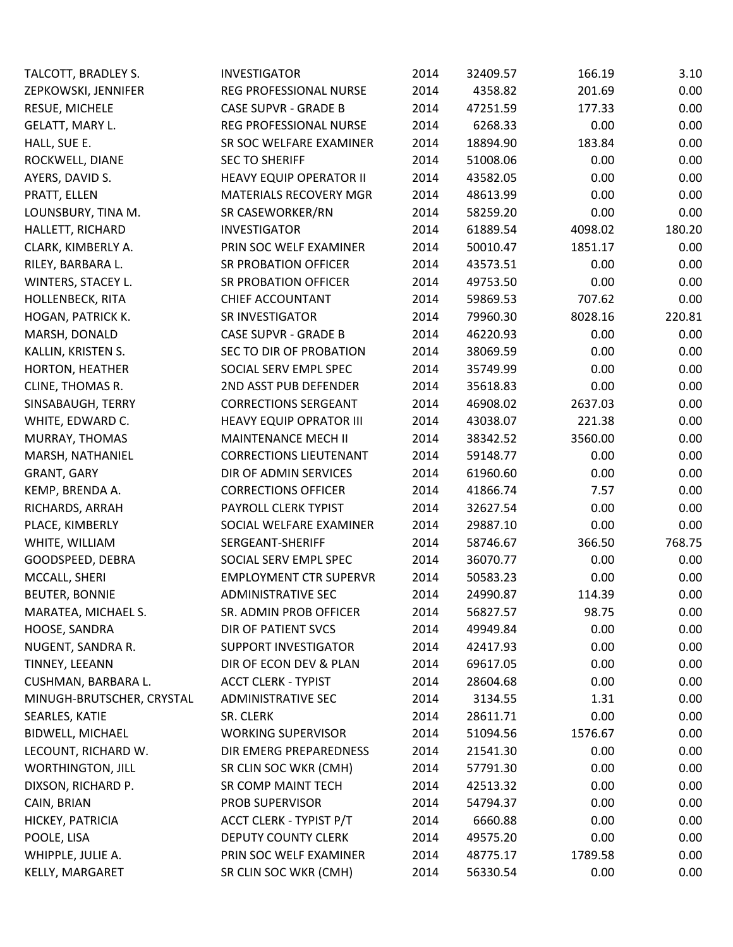| TALCOTT, BRADLEY S.       | <b>INVESTIGATOR</b>            | 2014 | 32409.57 | 166.19  | 3.10   |
|---------------------------|--------------------------------|------|----------|---------|--------|
| ZEPKOWSKI, JENNIFER       | REG PROFESSIONAL NURSE         | 2014 | 4358.82  | 201.69  | 0.00   |
| RESUE, MICHELE            | <b>CASE SUPVR - GRADE B</b>    | 2014 | 47251.59 | 177.33  | 0.00   |
| GELATT, MARY L.           | REG PROFESSIONAL NURSE         | 2014 | 6268.33  | 0.00    | 0.00   |
| HALL, SUE E.              | SR SOC WELFARE EXAMINER        | 2014 | 18894.90 | 183.84  | 0.00   |
| ROCKWELL, DIANE           | <b>SEC TO SHERIFF</b>          | 2014 | 51008.06 | 0.00    | 0.00   |
| AYERS, DAVID S.           | <b>HEAVY EQUIP OPERATOR II</b> | 2014 | 43582.05 | 0.00    | 0.00   |
| PRATT, ELLEN              | <b>MATERIALS RECOVERY MGR</b>  | 2014 | 48613.99 | 0.00    | 0.00   |
| LOUNSBURY, TINA M.        | SR CASEWORKER/RN               | 2014 | 58259.20 | 0.00    | 0.00   |
| HALLETT, RICHARD          | <b>INVESTIGATOR</b>            | 2014 | 61889.54 | 4098.02 | 180.20 |
| CLARK, KIMBERLY A.        | PRIN SOC WELF EXAMINER         | 2014 | 50010.47 | 1851.17 | 0.00   |
| RILEY, BARBARA L.         | <b>SR PROBATION OFFICER</b>    | 2014 | 43573.51 | 0.00    | 0.00   |
| WINTERS, STACEY L.        | SR PROBATION OFFICER           | 2014 | 49753.50 | 0.00    | 0.00   |
| <b>HOLLENBECK, RITA</b>   | <b>CHIEF ACCOUNTANT</b>        | 2014 | 59869.53 | 707.62  | 0.00   |
| HOGAN, PATRICK K.         | <b>SR INVESTIGATOR</b>         | 2014 | 79960.30 | 8028.16 | 220.81 |
| MARSH, DONALD             | <b>CASE SUPVR - GRADE B</b>    | 2014 | 46220.93 | 0.00    | 0.00   |
| KALLIN, KRISTEN S.        | SEC TO DIR OF PROBATION        | 2014 | 38069.59 | 0.00    | 0.00   |
| HORTON, HEATHER           | SOCIAL SERV EMPL SPEC          | 2014 | 35749.99 | 0.00    | 0.00   |
| <b>CLINE, THOMAS R.</b>   | 2ND ASST PUB DEFENDER          | 2014 | 35618.83 | 0.00    | 0.00   |
| SINSABAUGH, TERRY         | <b>CORRECTIONS SERGEANT</b>    | 2014 | 46908.02 | 2637.03 | 0.00   |
| WHITE, EDWARD C.          | <b>HEAVY EQUIP OPRATOR III</b> | 2014 | 43038.07 | 221.38  | 0.00   |
| MURRAY, THOMAS            | <b>MAINTENANCE MECH II</b>     | 2014 | 38342.52 | 3560.00 | 0.00   |
| MARSH, NATHANIEL          | <b>CORRECTIONS LIEUTENANT</b>  | 2014 | 59148.77 | 0.00    | 0.00   |
| <b>GRANT, GARY</b>        | DIR OF ADMIN SERVICES          | 2014 | 61960.60 | 0.00    | 0.00   |
| KEMP, BRENDA A.           | <b>CORRECTIONS OFFICER</b>     | 2014 | 41866.74 | 7.57    | 0.00   |
| RICHARDS, ARRAH           | PAYROLL CLERK TYPIST           | 2014 | 32627.54 | 0.00    | 0.00   |
| PLACE, KIMBERLY           | SOCIAL WELFARE EXAMINER        | 2014 | 29887.10 | 0.00    | 0.00   |
| WHITE, WILLIAM            | SERGEANT-SHERIFF               | 2014 | 58746.67 | 366.50  | 768.75 |
| GOODSPEED, DEBRA          | SOCIAL SERV EMPL SPEC          | 2014 | 36070.77 | 0.00    | 0.00   |
| MCCALL, SHERI             | <b>EMPLOYMENT CTR SUPERVR</b>  | 2014 | 50583.23 | 0.00    | 0.00   |
| <b>BEUTER, BONNIE</b>     | <b>ADMINISTRATIVE SEC</b>      | 2014 | 24990.87 | 114.39  | 0.00   |
| MARATEA, MICHAEL S.       | SR. ADMIN PROB OFFICER         | 2014 | 56827.57 | 98.75   | 0.00   |
| HOOSE, SANDRA             | DIR OF PATIENT SVCS            | 2014 | 49949.84 | 0.00    | 0.00   |
| NUGENT, SANDRA R.         | <b>SUPPORT INVESTIGATOR</b>    | 2014 | 42417.93 | 0.00    | 0.00   |
| TINNEY, LEEANN            | DIR OF ECON DEV & PLAN         | 2014 | 69617.05 | 0.00    | 0.00   |
| CUSHMAN, BARBARA L.       | <b>ACCT CLERK - TYPIST</b>     | 2014 | 28604.68 | 0.00    | 0.00   |
| MINUGH-BRUTSCHER, CRYSTAL | <b>ADMINISTRATIVE SEC</b>      | 2014 | 3134.55  | 1.31    | 0.00   |
| SEARLES, KATIE            | SR. CLERK                      | 2014 | 28611.71 | 0.00    | 0.00   |
| <b>BIDWELL, MICHAEL</b>   | <b>WORKING SUPERVISOR</b>      | 2014 | 51094.56 | 1576.67 | 0.00   |
| LECOUNT, RICHARD W.       | DIR EMERG PREPAREDNESS         | 2014 | 21541.30 | 0.00    | 0.00   |
| <b>WORTHINGTON, JILL</b>  | SR CLIN SOC WKR (CMH)          | 2014 | 57791.30 | 0.00    | 0.00   |
| DIXSON, RICHARD P.        | SR COMP MAINT TECH             | 2014 | 42513.32 | 0.00    | 0.00   |
| CAIN, BRIAN               | PROB SUPERVISOR                | 2014 | 54794.37 | 0.00    | 0.00   |
| HICKEY, PATRICIA          | <b>ACCT CLERK - TYPIST P/T</b> | 2014 | 6660.88  | 0.00    | 0.00   |
| POOLE, LISA               | <b>DEPUTY COUNTY CLERK</b>     | 2014 | 49575.20 | 0.00    | 0.00   |
| WHIPPLE, JULIE A.         | PRIN SOC WELF EXAMINER         | 2014 | 48775.17 | 1789.58 | 0.00   |
| KELLY, MARGARET           | SR CLIN SOC WKR (CMH)          | 2014 | 56330.54 | 0.00    | 0.00   |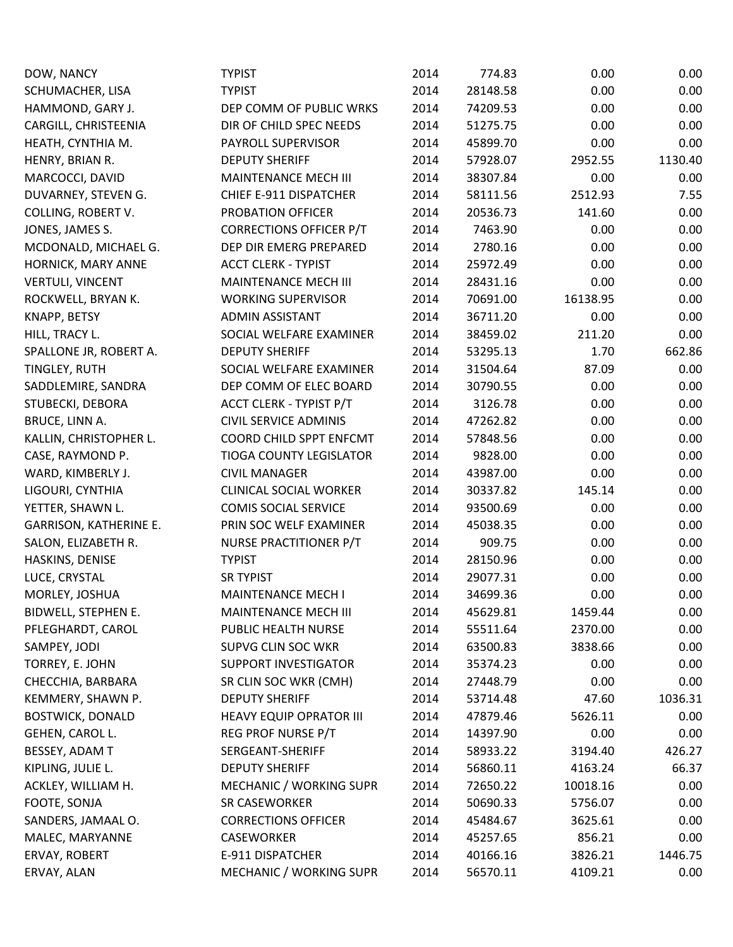| DOW, NANCY                    | <b>TYPIST</b>                  | 2014 | 774.83   | 0.00     | 0.00    |
|-------------------------------|--------------------------------|------|----------|----------|---------|
| SCHUMACHER, LISA              | <b>TYPIST</b>                  | 2014 | 28148.58 | 0.00     | 0.00    |
| HAMMOND, GARY J.              | DEP COMM OF PUBLIC WRKS        | 2014 | 74209.53 | 0.00     | 0.00    |
| CARGILL, CHRISTEENIA          | DIR OF CHILD SPEC NEEDS        | 2014 | 51275.75 | 0.00     | 0.00    |
| HEATH, CYNTHIA M.             | PAYROLL SUPERVISOR             | 2014 | 45899.70 | 0.00     | 0.00    |
| HENRY, BRIAN R.               | <b>DEPUTY SHERIFF</b>          | 2014 | 57928.07 | 2952.55  | 1130.40 |
| MARCOCCI, DAVID               | <b>MAINTENANCE MECH III</b>    | 2014 | 38307.84 | 0.00     | 0.00    |
| DUVARNEY, STEVEN G.           | CHIEF E-911 DISPATCHER         | 2014 | 58111.56 | 2512.93  | 7.55    |
| COLLING, ROBERT V.            | PROBATION OFFICER              | 2014 | 20536.73 | 141.60   | 0.00    |
| JONES, JAMES S.               | <b>CORRECTIONS OFFICER P/T</b> | 2014 | 7463.90  | 0.00     | 0.00    |
| MCDONALD, MICHAEL G.          | DEP DIR EMERG PREPARED         | 2014 | 2780.16  | 0.00     | 0.00    |
| HORNICK, MARY ANNE            | <b>ACCT CLERK - TYPIST</b>     | 2014 | 25972.49 | 0.00     | 0.00    |
| VERTULI, VINCENT              | MAINTENANCE MECH III           | 2014 | 28431.16 | 0.00     | 0.00    |
| ROCKWELL, BRYAN K.            | <b>WORKING SUPERVISOR</b>      | 2014 | 70691.00 | 16138.95 | 0.00    |
| KNAPP, BETSY                  | <b>ADMIN ASSISTANT</b>         | 2014 | 36711.20 | 0.00     | 0.00    |
| HILL, TRACY L.                | SOCIAL WELFARE EXAMINER        | 2014 | 38459.02 | 211.20   | 0.00    |
| SPALLONE JR, ROBERT A.        | <b>DEPUTY SHERIFF</b>          | 2014 | 53295.13 | 1.70     | 662.86  |
| TINGLEY, RUTH                 | SOCIAL WELFARE EXAMINER        | 2014 | 31504.64 | 87.09    | 0.00    |
| SADDLEMIRE, SANDRA            | DEP COMM OF ELEC BOARD         | 2014 | 30790.55 | 0.00     | 0.00    |
| STUBECKI, DEBORA              | <b>ACCT CLERK - TYPIST P/T</b> | 2014 | 3126.78  | 0.00     | 0.00    |
| BRUCE, LINN A.                | <b>CIVIL SERVICE ADMINIS</b>   | 2014 | 47262.82 | 0.00     | 0.00    |
| KALLIN, CHRISTOPHER L.        | COORD CHILD SPPT ENFCMT        | 2014 | 57848.56 | 0.00     | 0.00    |
| CASE, RAYMOND P.              | <b>TIOGA COUNTY LEGISLATOR</b> | 2014 | 9828.00  | 0.00     | 0.00    |
| WARD, KIMBERLY J.             | <b>CIVIL MANAGER</b>           | 2014 | 43987.00 | 0.00     | 0.00    |
| LIGOURI, CYNTHIA              | <b>CLINICAL SOCIAL WORKER</b>  | 2014 | 30337.82 | 145.14   | 0.00    |
| YETTER, SHAWN L.              | <b>COMIS SOCIAL SERVICE</b>    | 2014 | 93500.69 | 0.00     | 0.00    |
| <b>GARRISON, KATHERINE E.</b> | PRIN SOC WELF EXAMINER         | 2014 | 45038.35 | 0.00     | 0.00    |
| SALON, ELIZABETH R.           | NURSE PRACTITIONER P/T         | 2014 | 909.75   | 0.00     | 0.00    |
| HASKINS, DENISE               | <b>TYPIST</b>                  | 2014 | 28150.96 | 0.00     | 0.00    |
| LUCE, CRYSTAL                 | <b>SR TYPIST</b>               | 2014 | 29077.31 | 0.00     | 0.00    |
| MORLEY, JOSHUA                | MAINTENANCE MECH I             | 2014 | 34699.36 | 0.00     | 0.00    |
| BIDWELL, STEPHEN E.           | <b>MAINTENANCE MECH III</b>    | 2014 | 45629.81 | 1459.44  | 0.00    |
| PFLEGHARDT, CAROL             | PUBLIC HEALTH NURSE            | 2014 | 55511.64 | 2370.00  | 0.00    |
| SAMPEY, JODI                  | <b>SUPVG CLIN SOC WKR</b>      | 2014 | 63500.83 | 3838.66  | 0.00    |
| TORREY, E. JOHN               | <b>SUPPORT INVESTIGATOR</b>    | 2014 | 35374.23 | 0.00     | 0.00    |
| CHECCHIA, BARBARA             | SR CLIN SOC WKR (CMH)          | 2014 | 27448.79 | 0.00     | 0.00    |
| KEMMERY, SHAWN P.             | <b>DEPUTY SHERIFF</b>          | 2014 | 53714.48 | 47.60    | 1036.31 |
| <b>BOSTWICK, DONALD</b>       | <b>HEAVY EQUIP OPRATOR III</b> | 2014 | 47879.46 | 5626.11  | 0.00    |
| GEHEN, CAROL L.               | REG PROF NURSE P/T             | 2014 | 14397.90 | 0.00     | 0.00    |
| BESSEY, ADAM T                | SERGEANT-SHERIFF               | 2014 | 58933.22 | 3194.40  | 426.27  |
| KIPLING, JULIE L.             | <b>DEPUTY SHERIFF</b>          | 2014 | 56860.11 | 4163.24  | 66.37   |
| ACKLEY, WILLIAM H.            | MECHANIC / WORKING SUPR        | 2014 | 72650.22 | 10018.16 | 0.00    |
| FOOTE, SONJA                  | SR CASEWORKER                  | 2014 | 50690.33 | 5756.07  | 0.00    |
| SANDERS, JAMAAL O.            | <b>CORRECTIONS OFFICER</b>     | 2014 | 45484.67 | 3625.61  | 0.00    |
| MALEC, MARYANNE               | <b>CASEWORKER</b>              | 2014 | 45257.65 | 856.21   | 0.00    |
| ERVAY, ROBERT                 | E-911 DISPATCHER               | 2014 | 40166.16 | 3826.21  | 1446.75 |
| ERVAY, ALAN                   | MECHANIC / WORKING SUPR        | 2014 | 56570.11 | 4109.21  | 0.00    |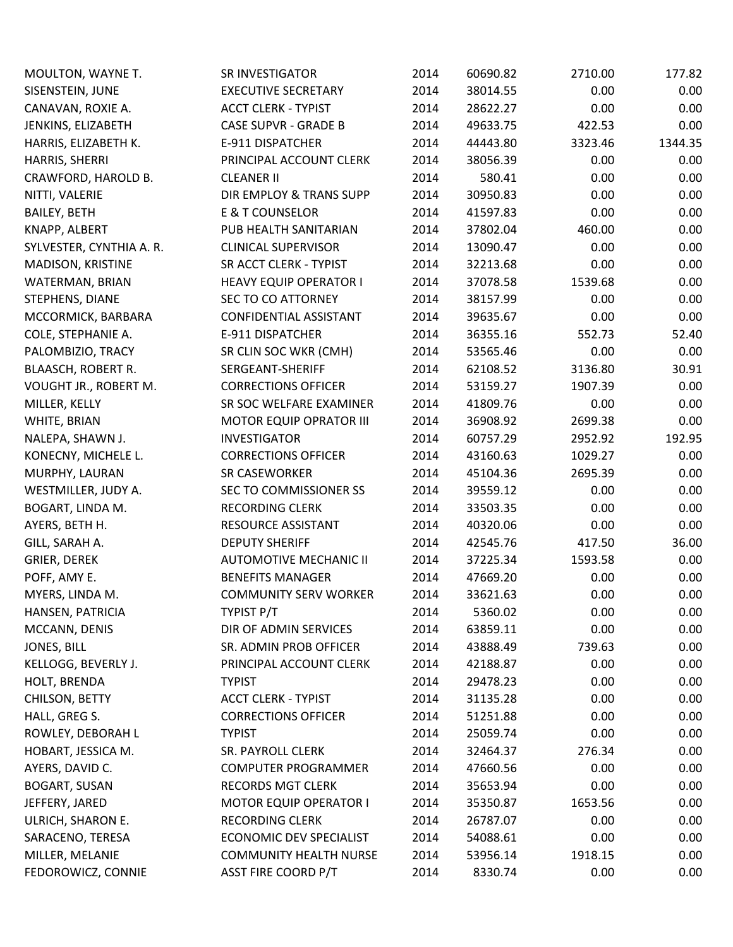| MOULTON, WAYNE T.         | <b>SR INVESTIGATOR</b>         | 2014 | 60690.82 | 2710.00 | 177.82  |
|---------------------------|--------------------------------|------|----------|---------|---------|
| SISENSTEIN, JUNE          | <b>EXECUTIVE SECRETARY</b>     | 2014 | 38014.55 | 0.00    | 0.00    |
| CANAVAN, ROXIE A.         | <b>ACCT CLERK - TYPIST</b>     | 2014 | 28622.27 | 0.00    | 0.00    |
| JENKINS, ELIZABETH        | <b>CASE SUPVR - GRADE B</b>    | 2014 | 49633.75 | 422.53  | 0.00    |
| HARRIS, ELIZABETH K.      | E-911 DISPATCHER               | 2014 | 44443.80 | 3323.46 | 1344.35 |
| HARRIS, SHERRI            | PRINCIPAL ACCOUNT CLERK        | 2014 | 38056.39 | 0.00    | 0.00    |
| CRAWFORD, HAROLD B.       | <b>CLEANER II</b>              | 2014 | 580.41   | 0.00    | 0.00    |
| NITTI, VALERIE            | DIR EMPLOY & TRANS SUPP        | 2014 | 30950.83 | 0.00    | 0.00    |
| <b>BAILEY, BETH</b>       | E & T COUNSELOR                | 2014 | 41597.83 | 0.00    | 0.00    |
| KNAPP, ALBERT             | PUB HEALTH SANITARIAN          | 2014 | 37802.04 | 460.00  | 0.00    |
| SYLVESTER, CYNTHIA A. R.  | <b>CLINICAL SUPERVISOR</b>     | 2014 | 13090.47 | 0.00    | 0.00    |
| MADISON, KRISTINE         | SR ACCT CLERK - TYPIST         | 2014 | 32213.68 | 0.00    | 0.00    |
| WATERMAN, BRIAN           | <b>HEAVY EQUIP OPERATOR I</b>  | 2014 | 37078.58 | 1539.68 | 0.00    |
| STEPHENS, DIANE           | SEC TO CO ATTORNEY             | 2014 | 38157.99 | 0.00    | 0.00    |
| MCCORMICK, BARBARA        | <b>CONFIDENTIAL ASSISTANT</b>  | 2014 | 39635.67 | 0.00    | 0.00    |
| COLE, STEPHANIE A.        | E-911 DISPATCHER               | 2014 | 36355.16 | 552.73  | 52.40   |
| PALOMBIZIO, TRACY         | SR CLIN SOC WKR (CMH)          | 2014 | 53565.46 | 0.00    | 0.00    |
| <b>BLAASCH, ROBERT R.</b> | SERGEANT-SHERIFF               | 2014 | 62108.52 | 3136.80 | 30.91   |
| VOUGHT JR., ROBERT M.     | <b>CORRECTIONS OFFICER</b>     | 2014 | 53159.27 | 1907.39 | 0.00    |
| MILLER, KELLY             | SR SOC WELFARE EXAMINER        | 2014 | 41809.76 | 0.00    | 0.00    |
| WHITE, BRIAN              | <b>MOTOR EQUIP OPRATOR III</b> | 2014 | 36908.92 | 2699.38 | 0.00    |
| NALEPA, SHAWN J.          | <b>INVESTIGATOR</b>            | 2014 | 60757.29 | 2952.92 | 192.95  |
| KONECNY, MICHELE L.       | <b>CORRECTIONS OFFICER</b>     | 2014 | 43160.63 | 1029.27 | 0.00    |
| MURPHY, LAURAN            | SR CASEWORKER                  | 2014 | 45104.36 | 2695.39 | 0.00    |
| WESTMILLER, JUDY A.       | SEC TO COMMISSIONER SS         | 2014 | 39559.12 | 0.00    | 0.00    |
| BOGART, LINDA M.          | <b>RECORDING CLERK</b>         | 2014 | 33503.35 | 0.00    | 0.00    |
| AYERS, BETH H.            | RESOURCE ASSISTANT             | 2014 | 40320.06 | 0.00    | 0.00    |
| GILL, SARAH A.            | <b>DEPUTY SHERIFF</b>          | 2014 | 42545.76 | 417.50  | 36.00   |
| GRIER, DEREK              | <b>AUTOMOTIVE MECHANIC II</b>  | 2014 | 37225.34 | 1593.58 | 0.00    |
| POFF, AMY E.              | <b>BENEFITS MANAGER</b>        | 2014 | 47669.20 | 0.00    | 0.00    |
| MYERS, LINDA M.           | <b>COMMUNITY SERV WORKER</b>   | 2014 | 33621.63 | 0.00    | 0.00    |
| HANSEN, PATRICIA          | TYPIST P/T                     | 2014 | 5360.02  | 0.00    | 0.00    |
| MCCANN, DENIS             | DIR OF ADMIN SERVICES          | 2014 | 63859.11 | 0.00    | 0.00    |
| JONES, BILL               | SR. ADMIN PROB OFFICER         | 2014 | 43888.49 | 739.63  | 0.00    |
| KELLOGG, BEVERLY J.       | PRINCIPAL ACCOUNT CLERK        | 2014 | 42188.87 | 0.00    | 0.00    |
| HOLT, BRENDA              | <b>TYPIST</b>                  | 2014 | 29478.23 | 0.00    | 0.00    |
| CHILSON, BETTY            | <b>ACCT CLERK - TYPIST</b>     | 2014 | 31135.28 | 0.00    | 0.00    |
| HALL, GREG S.             | <b>CORRECTIONS OFFICER</b>     | 2014 | 51251.88 | 0.00    | 0.00    |
| ROWLEY, DEBORAH L         | <b>TYPIST</b>                  | 2014 | 25059.74 | 0.00    | 0.00    |
| HOBART, JESSICA M.        | SR. PAYROLL CLERK              | 2014 | 32464.37 | 276.34  | 0.00    |
| AYERS, DAVID C.           | <b>COMPUTER PROGRAMMER</b>     | 2014 | 47660.56 | 0.00    | 0.00    |
| <b>BOGART, SUSAN</b>      | <b>RECORDS MGT CLERK</b>       | 2014 | 35653.94 | 0.00    | 0.00    |
| JEFFERY, JARED            | <b>MOTOR EQUIP OPERATOR I</b>  | 2014 | 35350.87 | 1653.56 | 0.00    |
| ULRICH, SHARON E.         | <b>RECORDING CLERK</b>         | 2014 | 26787.07 | 0.00    | 0.00    |
| SARACENO, TERESA          | <b>ECONOMIC DEV SPECIALIST</b> | 2014 | 54088.61 | 0.00    | 0.00    |
| MILLER, MELANIE           | <b>COMMUNITY HEALTH NURSE</b>  | 2014 | 53956.14 | 1918.15 | 0.00    |
| FEDOROWICZ, CONNIE        | <b>ASST FIRE COORD P/T</b>     | 2014 | 8330.74  | 0.00    | 0.00    |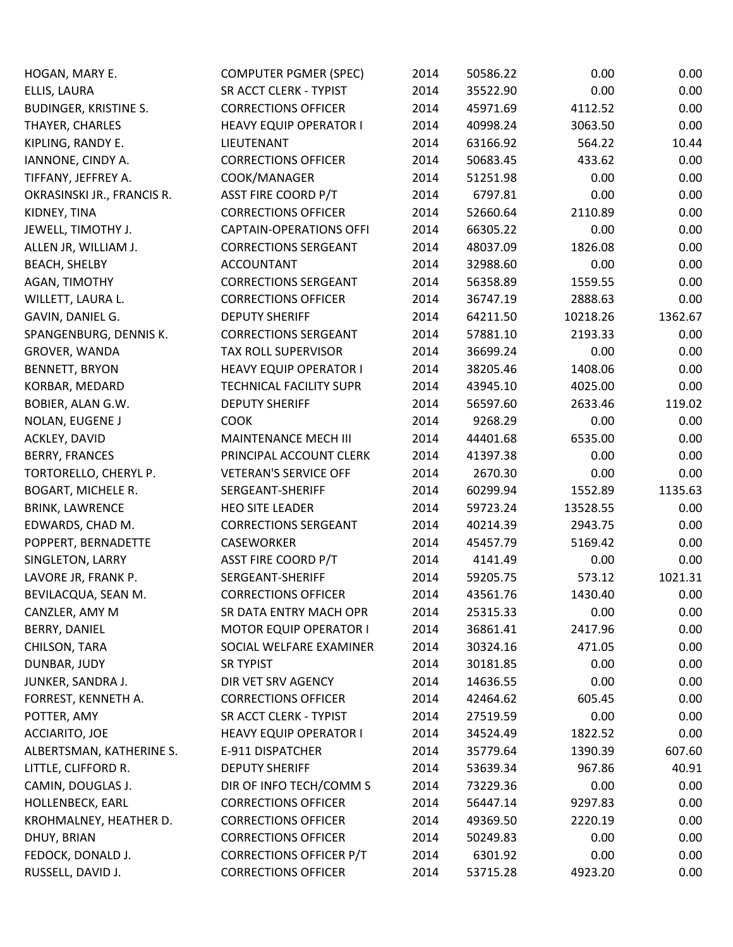| HOGAN, MARY E.             | <b>COMPUTER PGMER (SPEC)</b>   | 2014 | 50586.22 | 0.00     | 0.00    |
|----------------------------|--------------------------------|------|----------|----------|---------|
| ELLIS, LAURA               | SR ACCT CLERK - TYPIST         | 2014 | 35522.90 | 0.00     | 0.00    |
| BUDINGER, KRISTINE S.      | <b>CORRECTIONS OFFICER</b>     | 2014 | 45971.69 | 4112.52  | 0.00    |
| THAYER, CHARLES            | <b>HEAVY EQUIP OPERATOR I</b>  | 2014 | 40998.24 | 3063.50  | 0.00    |
| KIPLING, RANDY E.          | LIEUTENANT                     | 2014 | 63166.92 | 564.22   | 10.44   |
| IANNONE, CINDY A.          | <b>CORRECTIONS OFFICER</b>     | 2014 | 50683.45 | 433.62   | 0.00    |
| TIFFANY, JEFFREY A.        | COOK/MANAGER                   | 2014 | 51251.98 | 0.00     | 0.00    |
| OKRASINSKI JR., FRANCIS R. | <b>ASST FIRE COORD P/T</b>     | 2014 | 6797.81  | 0.00     | 0.00    |
| KIDNEY, TINA               | <b>CORRECTIONS OFFICER</b>     | 2014 | 52660.64 | 2110.89  | 0.00    |
| JEWELL, TIMOTHY J.         | <b>CAPTAIN-OPERATIONS OFFI</b> | 2014 | 66305.22 | 0.00     | 0.00    |
| ALLEN JR, WILLIAM J.       | <b>CORRECTIONS SERGEANT</b>    | 2014 | 48037.09 | 1826.08  | 0.00    |
| <b>BEACH, SHELBY</b>       | <b>ACCOUNTANT</b>              | 2014 | 32988.60 | 0.00     | 0.00    |
| AGAN, TIMOTHY              | <b>CORRECTIONS SERGEANT</b>    | 2014 | 56358.89 | 1559.55  | 0.00    |
| WILLETT, LAURA L.          | <b>CORRECTIONS OFFICER</b>     | 2014 | 36747.19 | 2888.63  | 0.00    |
| GAVIN, DANIEL G.           | <b>DEPUTY SHERIFF</b>          | 2014 | 64211.50 | 10218.26 | 1362.67 |
| SPANGENBURG, DENNIS K.     | <b>CORRECTIONS SERGEANT</b>    | 2014 | 57881.10 | 2193.33  | 0.00    |
| GROVER, WANDA              | <b>TAX ROLL SUPERVISOR</b>     | 2014 | 36699.24 | 0.00     | 0.00    |
| BENNETT, BRYON             | <b>HEAVY EQUIP OPERATOR I</b>  | 2014 | 38205.46 | 1408.06  | 0.00    |
| KORBAR, MEDARD             | TECHNICAL FACILITY SUPR        | 2014 | 43945.10 | 4025.00  | 0.00    |
| BOBIER, ALAN G.W.          | <b>DEPUTY SHERIFF</b>          | 2014 | 56597.60 | 2633.46  | 119.02  |
| NOLAN, EUGENE J            | <b>COOK</b>                    | 2014 | 9268.29  | 0.00     | 0.00    |
| ACKLEY, DAVID              | <b>MAINTENANCE MECH III</b>    | 2014 | 44401.68 | 6535.00  | 0.00    |
| <b>BERRY, FRANCES</b>      | PRINCIPAL ACCOUNT CLERK        | 2014 | 41397.38 | 0.00     | 0.00    |
| TORTORELLO, CHERYL P.      | <b>VETERAN'S SERVICE OFF</b>   | 2014 | 2670.30  | 0.00     | 0.00    |
| BOGART, MICHELE R.         | SERGEANT-SHERIFF               | 2014 | 60299.94 | 1552.89  | 1135.63 |
| <b>BRINK, LAWRENCE</b>     | <b>HEO SITE LEADER</b>         | 2014 | 59723.24 | 13528.55 | 0.00    |
| EDWARDS, CHAD M.           | <b>CORRECTIONS SERGEANT</b>    | 2014 | 40214.39 | 2943.75  | 0.00    |
| POPPERT, BERNADETTE        | <b>CASEWORKER</b>              | 2014 | 45457.79 | 5169.42  | 0.00    |
| SINGLETON, LARRY           | <b>ASST FIRE COORD P/T</b>     | 2014 | 4141.49  | 0.00     | 0.00    |
| LAVORE JR, FRANK P.        | SERGEANT-SHERIFF               | 2014 | 59205.75 | 573.12   | 1021.31 |
| BEVILACQUA, SEAN M.        | <b>CORRECTIONS OFFICER</b>     | 2014 | 43561.76 | 1430.40  | 0.00    |
| CANZLER, AMY M             | SR DATA ENTRY MACH OPR         | 2014 | 25315.33 | 0.00     | 0.00    |
| BERRY, DANIEL              | <b>MOTOR EQUIP OPERATOR I</b>  | 2014 | 36861.41 | 2417.96  | 0.00    |
| CHILSON, TARA              | SOCIAL WELFARE EXAMINER        | 2014 | 30324.16 | 471.05   | 0.00    |
| DUNBAR, JUDY               | <b>SR TYPIST</b>               | 2014 | 30181.85 | 0.00     | 0.00    |
| JUNKER, SANDRA J.          | DIR VET SRV AGENCY             | 2014 | 14636.55 | 0.00     | 0.00    |
| FORREST, KENNETH A.        | <b>CORRECTIONS OFFICER</b>     | 2014 | 42464.62 | 605.45   | 0.00    |
| POTTER, AMY                | SR ACCT CLERK - TYPIST         | 2014 | 27519.59 | 0.00     | 0.00    |
| ACCIARITO, JOE             | <b>HEAVY EQUIP OPERATOR I</b>  | 2014 | 34524.49 | 1822.52  | 0.00    |
| ALBERTSMAN, KATHERINE S.   | E-911 DISPATCHER               | 2014 | 35779.64 | 1390.39  | 607.60  |
| LITTLE, CLIFFORD R.        | <b>DEPUTY SHERIFF</b>          | 2014 | 53639.34 | 967.86   | 40.91   |
| CAMIN, DOUGLAS J.          | DIR OF INFO TECH/COMM S        | 2014 | 73229.36 | 0.00     | 0.00    |
| HOLLENBECK, EARL           | <b>CORRECTIONS OFFICER</b>     | 2014 | 56447.14 | 9297.83  | 0.00    |
| KROHMALNEY, HEATHER D.     | <b>CORRECTIONS OFFICER</b>     | 2014 | 49369.50 | 2220.19  | 0.00    |
| DHUY, BRIAN                | <b>CORRECTIONS OFFICER</b>     | 2014 | 50249.83 | 0.00     | 0.00    |
| FEDOCK, DONALD J.          | <b>CORRECTIONS OFFICER P/T</b> | 2014 | 6301.92  | 0.00     | 0.00    |
| RUSSELL, DAVID J.          | <b>CORRECTIONS OFFICER</b>     | 2014 | 53715.28 | 4923.20  | 0.00    |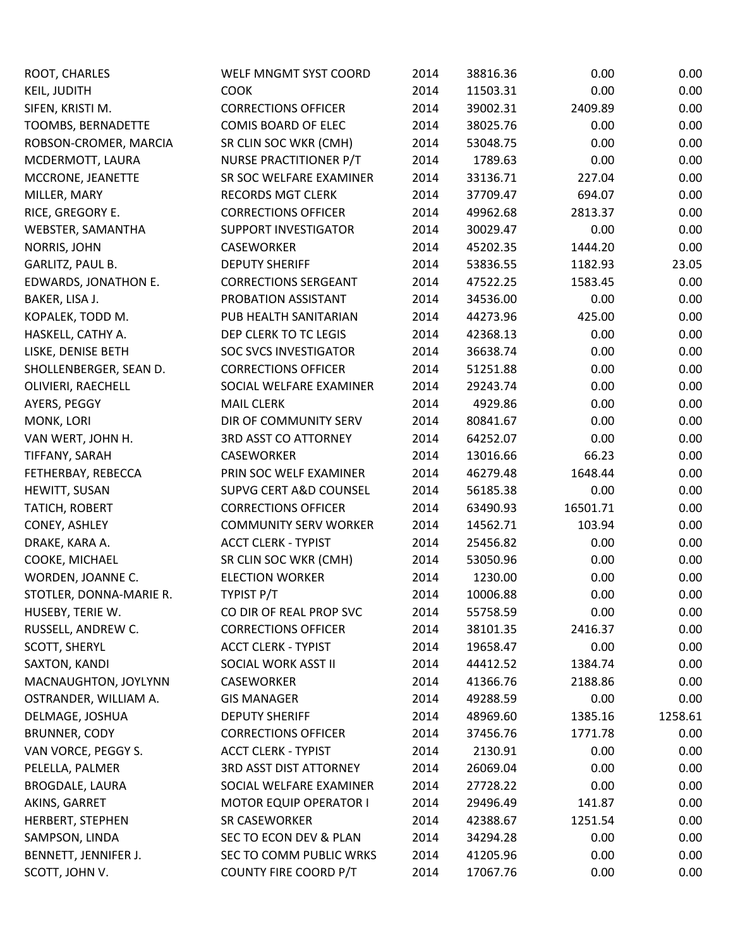| ROOT, CHARLES             | WELF MNGMT SYST COORD         | 2014 | 38816.36 | 0.00     | 0.00    |
|---------------------------|-------------------------------|------|----------|----------|---------|
| <b>KEIL, JUDITH</b>       | <b>COOK</b>                   | 2014 | 11503.31 | 0.00     | 0.00    |
| SIFEN, KRISTI M.          | <b>CORRECTIONS OFFICER</b>    | 2014 | 39002.31 | 2409.89  | 0.00    |
| TOOMBS, BERNADETTE        | <b>COMIS BOARD OF ELEC</b>    | 2014 | 38025.76 | 0.00     | 0.00    |
| ROBSON-CROMER, MARCIA     | SR CLIN SOC WKR (CMH)         | 2014 | 53048.75 | 0.00     | 0.00    |
| MCDERMOTT, LAURA          | <b>NURSE PRACTITIONER P/T</b> | 2014 | 1789.63  | 0.00     | 0.00    |
| MCCRONE, JEANETTE         | SR SOC WELFARE EXAMINER       | 2014 | 33136.71 | 227.04   | 0.00    |
| MILLER, MARY              | <b>RECORDS MGT CLERK</b>      | 2014 | 37709.47 | 694.07   | 0.00    |
| RICE, GREGORY E.          | <b>CORRECTIONS OFFICER</b>    | 2014 | 49962.68 | 2813.37  | 0.00    |
| WEBSTER, SAMANTHA         | SUPPORT INVESTIGATOR          | 2014 | 30029.47 | 0.00     | 0.00    |
| NORRIS, JOHN              | <b>CASEWORKER</b>             | 2014 | 45202.35 | 1444.20  | 0.00    |
| GARLITZ, PAUL B.          | <b>DEPUTY SHERIFF</b>         | 2014 | 53836.55 | 1182.93  | 23.05   |
| EDWARDS, JONATHON E.      | <b>CORRECTIONS SERGEANT</b>   | 2014 | 47522.25 | 1583.45  | 0.00    |
| BAKER, LISA J.            | PROBATION ASSISTANT           | 2014 | 34536.00 | 0.00     | 0.00    |
| KOPALEK, TODD M.          | PUB HEALTH SANITARIAN         | 2014 | 44273.96 | 425.00   | 0.00    |
| HASKELL, CATHY A.         | DEP CLERK TO TC LEGIS         | 2014 | 42368.13 | 0.00     | 0.00    |
| LISKE, DENISE BETH        | <b>SOC SVCS INVESTIGATOR</b>  | 2014 | 36638.74 | 0.00     | 0.00    |
| SHOLLENBERGER, SEAN D.    | <b>CORRECTIONS OFFICER</b>    | 2014 | 51251.88 | 0.00     | 0.00    |
| <b>OLIVIERI, RAECHELL</b> | SOCIAL WELFARE EXAMINER       | 2014 | 29243.74 | 0.00     | 0.00    |
| AYERS, PEGGY              | <b>MAIL CLERK</b>             | 2014 | 4929.86  | 0.00     | 0.00    |
| MONK, LORI                | DIR OF COMMUNITY SERV         | 2014 | 80841.67 | 0.00     | 0.00    |
| VAN WERT, JOHN H.         | <b>3RD ASST CO ATTORNEY</b>   | 2014 | 64252.07 | 0.00     | 0.00    |
| TIFFANY, SARAH            | <b>CASEWORKER</b>             | 2014 | 13016.66 | 66.23    | 0.00    |
| FETHERBAY, REBECCA        | PRIN SOC WELF EXAMINER        | 2014 | 46279.48 | 1648.44  | 0.00    |
| HEWITT, SUSAN             | SUPVG CERT A&D COUNSEL        | 2014 | 56185.38 | 0.00     | 0.00    |
| TATICH, ROBERT            | <b>CORRECTIONS OFFICER</b>    | 2014 | 63490.93 | 16501.71 | 0.00    |
| CONEY, ASHLEY             | <b>COMMUNITY SERV WORKER</b>  | 2014 | 14562.71 | 103.94   | 0.00    |
| DRAKE, KARA A.            | <b>ACCT CLERK - TYPIST</b>    | 2014 | 25456.82 | 0.00     | 0.00    |
| COOKE, MICHAEL            | SR CLIN SOC WKR (CMH)         | 2014 | 53050.96 | 0.00     | 0.00    |
| WORDEN, JOANNE C.         | <b>ELECTION WORKER</b>        | 2014 | 1230.00  | 0.00     | 0.00    |
| STOTLER, DONNA-MARIE R.   | TYPIST P/T                    | 2014 | 10006.88 | 0.00     | 0.00    |
| HUSEBY, TERIE W.          | CO DIR OF REAL PROP SVC       | 2014 | 55758.59 | 0.00     | 0.00    |
| RUSSELL, ANDREW C.        | <b>CORRECTIONS OFFICER</b>    | 2014 | 38101.35 | 2416.37  | 0.00    |
| <b>SCOTT, SHERYL</b>      | <b>ACCT CLERK - TYPIST</b>    | 2014 | 19658.47 | 0.00     | 0.00    |
| SAXTON, KANDI             | SOCIAL WORK ASST II           | 2014 | 44412.52 | 1384.74  | 0.00    |
| MACNAUGHTON, JOYLYNN      | CASEWORKER                    | 2014 | 41366.76 | 2188.86  | 0.00    |
| OSTRANDER, WILLIAM A.     | <b>GIS MANAGER</b>            | 2014 | 49288.59 | 0.00     | 0.00    |
| DELMAGE, JOSHUA           | <b>DEPUTY SHERIFF</b>         | 2014 | 48969.60 | 1385.16  | 1258.61 |
| <b>BRUNNER, CODY</b>      | <b>CORRECTIONS OFFICER</b>    | 2014 | 37456.76 | 1771.78  | 0.00    |
| VAN VORCE, PEGGY S.       | <b>ACCT CLERK - TYPIST</b>    | 2014 | 2130.91  | 0.00     | 0.00    |
| PELELLA, PALMER           | <b>3RD ASST DIST ATTORNEY</b> | 2014 | 26069.04 | 0.00     | 0.00    |
| <b>BROGDALE, LAURA</b>    | SOCIAL WELFARE EXAMINER       | 2014 | 27728.22 | 0.00     | 0.00    |
| AKINS, GARRET             | <b>MOTOR EQUIP OPERATOR I</b> | 2014 | 29496.49 | 141.87   | 0.00    |
| HERBERT, STEPHEN          | SR CASEWORKER                 | 2014 | 42388.67 | 1251.54  | 0.00    |
| SAMPSON, LINDA            | SEC TO ECON DEV & PLAN        | 2014 | 34294.28 | 0.00     | 0.00    |
| BENNETT, JENNIFER J.      | SEC TO COMM PUBLIC WRKS       | 2014 | 41205.96 | 0.00     | 0.00    |
| SCOTT, JOHN V.            | <b>COUNTY FIRE COORD P/T</b>  | 2014 | 17067.76 | 0.00     | 0.00    |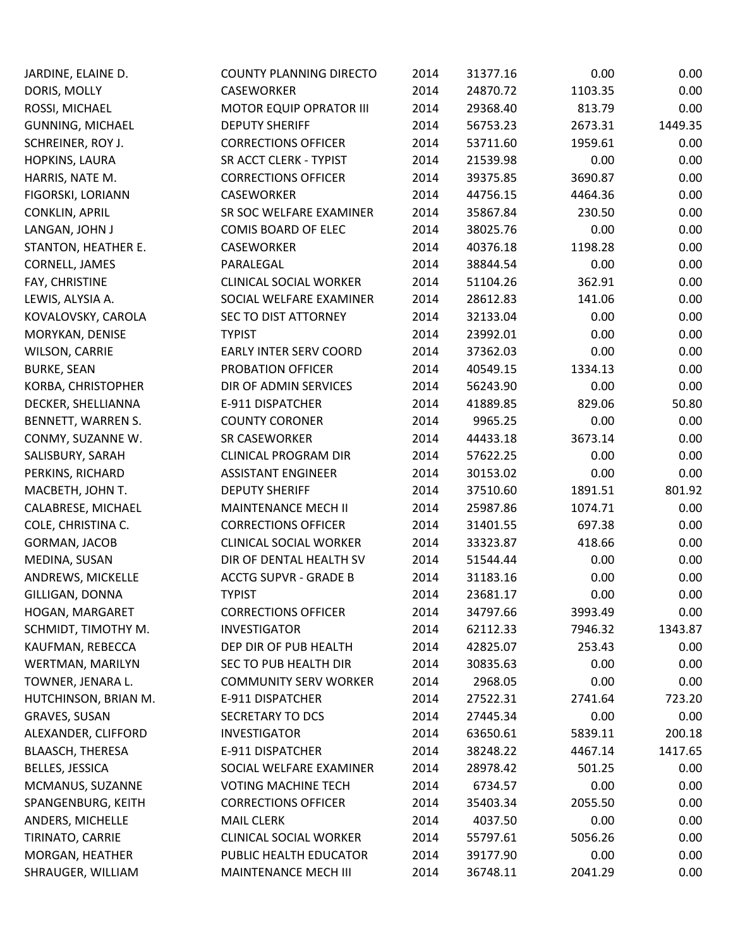| JARDINE, ELAINE D.      | <b>COUNTY PLANNING DIRECTO</b> | 2014 | 31377.16 | 0.00    | 0.00    |
|-------------------------|--------------------------------|------|----------|---------|---------|
| DORIS, MOLLY            | <b>CASEWORKER</b>              | 2014 | 24870.72 | 1103.35 | 0.00    |
| ROSSI, MICHAEL          | <b>MOTOR EQUIP OPRATOR III</b> | 2014 | 29368.40 | 813.79  | 0.00    |
| <b>GUNNING, MICHAEL</b> | <b>DEPUTY SHERIFF</b>          | 2014 | 56753.23 | 2673.31 | 1449.35 |
| SCHREINER, ROY J.       | <b>CORRECTIONS OFFICER</b>     | 2014 | 53711.60 | 1959.61 | 0.00    |
| HOPKINS, LAURA          | SR ACCT CLERK - TYPIST         | 2014 | 21539.98 | 0.00    | 0.00    |
| HARRIS, NATE M.         | <b>CORRECTIONS OFFICER</b>     | 2014 | 39375.85 | 3690.87 | 0.00    |
| FIGORSKI, LORIANN       | CASEWORKER                     | 2014 | 44756.15 | 4464.36 | 0.00    |
| <b>CONKLIN, APRIL</b>   | SR SOC WELFARE EXAMINER        | 2014 | 35867.84 | 230.50  | 0.00    |
| LANGAN, JOHN J          | COMIS BOARD OF ELEC            | 2014 | 38025.76 | 0.00    | 0.00    |
| STANTON, HEATHER E.     | CASEWORKER                     | 2014 | 40376.18 | 1198.28 | 0.00    |
| CORNELL, JAMES          | PARALEGAL                      | 2014 | 38844.54 | 0.00    | 0.00    |
| FAY, CHRISTINE          | <b>CLINICAL SOCIAL WORKER</b>  | 2014 | 51104.26 | 362.91  | 0.00    |
| LEWIS, ALYSIA A.        | SOCIAL WELFARE EXAMINER        | 2014 | 28612.83 | 141.06  | 0.00    |
| KOVALOVSKY, CAROLA      | <b>SEC TO DIST ATTORNEY</b>    | 2014 | 32133.04 | 0.00    | 0.00    |
| MORYKAN, DENISE         | <b>TYPIST</b>                  | 2014 | 23992.01 | 0.00    | 0.00    |
| WILSON, CARRIE          | <b>EARLY INTER SERV COORD</b>  | 2014 | 37362.03 | 0.00    | 0.00    |
| <b>BURKE, SEAN</b>      | PROBATION OFFICER              | 2014 | 40549.15 | 1334.13 | 0.00    |
| KORBA, CHRISTOPHER      | DIR OF ADMIN SERVICES          | 2014 | 56243.90 | 0.00    | 0.00    |
| DECKER, SHELLIANNA      | E-911 DISPATCHER               | 2014 | 41889.85 | 829.06  | 50.80   |
| BENNETT, WARREN S.      | <b>COUNTY CORONER</b>          | 2014 | 9965.25  | 0.00    | 0.00    |
| CONMY, SUZANNE W.       | SR CASEWORKER                  | 2014 | 44433.18 | 3673.14 | 0.00    |
| SALISBURY, SARAH        | <b>CLINICAL PROGRAM DIR</b>    | 2014 | 57622.25 | 0.00    | 0.00    |
| PERKINS, RICHARD        | <b>ASSISTANT ENGINEER</b>      | 2014 | 30153.02 | 0.00    | 0.00    |
| MACBETH, JOHN T.        | <b>DEPUTY SHERIFF</b>          | 2014 | 37510.60 | 1891.51 | 801.92  |
| CALABRESE, MICHAEL      | <b>MAINTENANCE MECH II</b>     | 2014 | 25987.86 | 1074.71 | 0.00    |
| COLE, CHRISTINA C.      | <b>CORRECTIONS OFFICER</b>     | 2014 | 31401.55 | 697.38  | 0.00    |
| GORMAN, JACOB           | <b>CLINICAL SOCIAL WORKER</b>  | 2014 | 33323.87 | 418.66  | 0.00    |
| MEDINA, SUSAN           | DIR OF DENTAL HEALTH SV        | 2014 | 51544.44 | 0.00    | 0.00    |
| ANDREWS, MICKELLE       | <b>ACCTG SUPVR - GRADE B</b>   | 2014 | 31183.16 | 0.00    | 0.00    |
| GILLIGAN, DONNA         | <b>TYPIST</b>                  | 2014 | 23681.17 | 0.00    | 0.00    |
| HOGAN, MARGARET         | <b>CORRECTIONS OFFICER</b>     | 2014 | 34797.66 | 3993.49 | 0.00    |
| SCHMIDT, TIMOTHY M.     | <b>INVESTIGATOR</b>            | 2014 | 62112.33 | 7946.32 | 1343.87 |
| KAUFMAN, REBECCA        | DEP DIR OF PUB HEALTH          | 2014 | 42825.07 | 253.43  | 0.00    |
| WERTMAN, MARILYN        | SEC TO PUB HEALTH DIR          | 2014 | 30835.63 | 0.00    | 0.00    |
| TOWNER, JENARA L.       | <b>COMMUNITY SERV WORKER</b>   | 2014 | 2968.05  | 0.00    | 0.00    |
| HUTCHINSON, BRIAN M.    | E-911 DISPATCHER               | 2014 | 27522.31 | 2741.64 | 723.20  |
| <b>GRAVES, SUSAN</b>    | SECRETARY TO DCS               | 2014 | 27445.34 | 0.00    | 0.00    |
| ALEXANDER, CLIFFORD     | <b>INVESTIGATOR</b>            | 2014 | 63650.61 | 5839.11 | 200.18  |
| <b>BLAASCH, THERESA</b> | E-911 DISPATCHER               | 2014 | 38248.22 | 4467.14 | 1417.65 |
| <b>BELLES, JESSICA</b>  | SOCIAL WELFARE EXAMINER        | 2014 | 28978.42 | 501.25  | 0.00    |
| MCMANUS, SUZANNE        | <b>VOTING MACHINE TECH</b>     | 2014 | 6734.57  | 0.00    | 0.00    |
| SPANGENBURG, KEITH      | <b>CORRECTIONS OFFICER</b>     | 2014 | 35403.34 | 2055.50 | 0.00    |
| ANDERS, MICHELLE        | <b>MAIL CLERK</b>              | 2014 | 4037.50  | 0.00    | 0.00    |
| TIRINATO, CARRIE        | <b>CLINICAL SOCIAL WORKER</b>  | 2014 | 55797.61 | 5056.26 | 0.00    |
| MORGAN, HEATHER         | PUBLIC HEALTH EDUCATOR         | 2014 | 39177.90 | 0.00    | 0.00    |
| SHRAUGER, WILLIAM       | MAINTENANCE MECH III           | 2014 | 36748.11 | 2041.29 | 0.00    |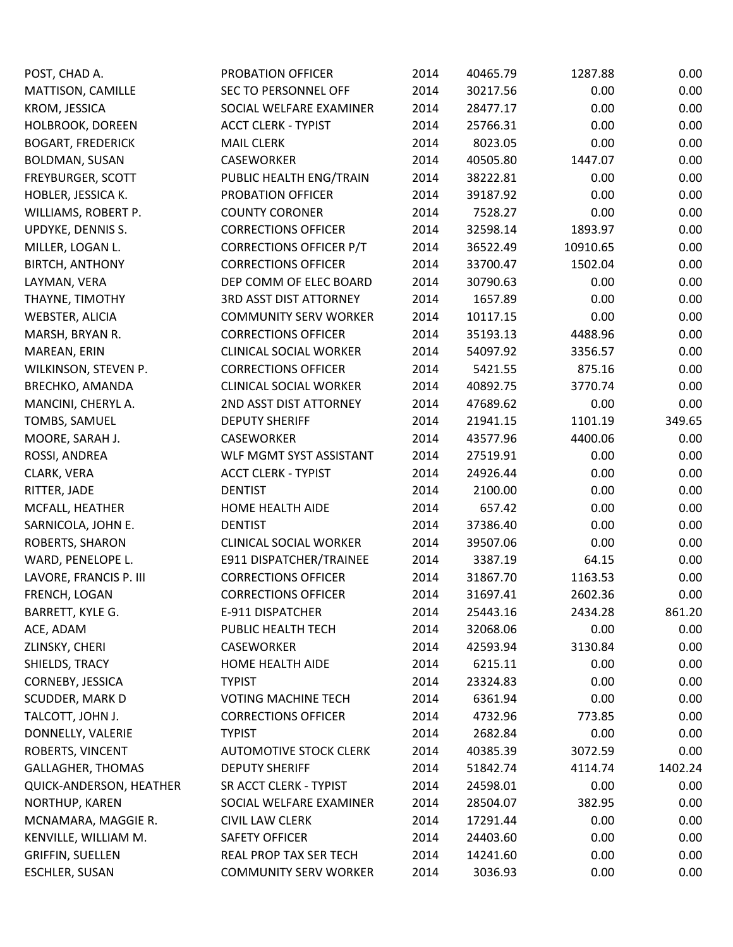| POST, CHAD A.                  | PROBATION OFFICER              | 2014 | 40465.79 | 1287.88  | 0.00    |
|--------------------------------|--------------------------------|------|----------|----------|---------|
| MATTISON, CAMILLE              | <b>SEC TO PERSONNEL OFF</b>    | 2014 | 30217.56 | 0.00     | 0.00    |
| KROM, JESSICA                  | SOCIAL WELFARE EXAMINER        | 2014 | 28477.17 | 0.00     | 0.00    |
| HOLBROOK, DOREEN               | <b>ACCT CLERK - TYPIST</b>     | 2014 | 25766.31 | 0.00     | 0.00    |
| <b>BOGART, FREDERICK</b>       | <b>MAIL CLERK</b>              | 2014 | 8023.05  | 0.00     | 0.00    |
| <b>BOLDMAN, SUSAN</b>          | CASEWORKER                     | 2014 | 40505.80 | 1447.07  | 0.00    |
| FREYBURGER, SCOTT              | PUBLIC HEALTH ENG/TRAIN        | 2014 | 38222.81 | 0.00     | 0.00    |
| HOBLER, JESSICA K.             | PROBATION OFFICER              | 2014 | 39187.92 | 0.00     | 0.00    |
| WILLIAMS, ROBERT P.            | <b>COUNTY CORONER</b>          | 2014 | 7528.27  | 0.00     | 0.00    |
| UPDYKE, DENNIS S.              | <b>CORRECTIONS OFFICER</b>     | 2014 | 32598.14 | 1893.97  | 0.00    |
| MILLER, LOGAN L.               | <b>CORRECTIONS OFFICER P/T</b> | 2014 | 36522.49 | 10910.65 | 0.00    |
| <b>BIRTCH, ANTHONY</b>         | <b>CORRECTIONS OFFICER</b>     | 2014 | 33700.47 | 1502.04  | 0.00    |
| LAYMAN, VERA                   | DEP COMM OF ELEC BOARD         | 2014 | 30790.63 | 0.00     | 0.00    |
| THAYNE, TIMOTHY                | <b>3RD ASST DIST ATTORNEY</b>  | 2014 | 1657.89  | 0.00     | 0.00    |
| <b>WEBSTER, ALICIA</b>         | <b>COMMUNITY SERV WORKER</b>   | 2014 | 10117.15 | 0.00     | 0.00    |
| MARSH, BRYAN R.                | <b>CORRECTIONS OFFICER</b>     | 2014 | 35193.13 | 4488.96  | 0.00    |
| MAREAN, ERIN                   | <b>CLINICAL SOCIAL WORKER</b>  | 2014 | 54097.92 | 3356.57  | 0.00    |
| WILKINSON, STEVEN P.           | <b>CORRECTIONS OFFICER</b>     | 2014 | 5421.55  | 875.16   | 0.00    |
| <b>BRECHKO, AMANDA</b>         | <b>CLINICAL SOCIAL WORKER</b>  | 2014 | 40892.75 | 3770.74  | 0.00    |
| MANCINI, CHERYL A.             | 2ND ASST DIST ATTORNEY         | 2014 | 47689.62 | 0.00     | 0.00    |
| TOMBS, SAMUEL                  | <b>DEPUTY SHERIFF</b>          | 2014 | 21941.15 | 1101.19  | 349.65  |
| MOORE, SARAH J.                | <b>CASEWORKER</b>              | 2014 | 43577.96 | 4400.06  | 0.00    |
| ROSSI, ANDREA                  | WLF MGMT SYST ASSISTANT        | 2014 | 27519.91 | 0.00     | 0.00    |
| CLARK, VERA                    | <b>ACCT CLERK - TYPIST</b>     | 2014 | 24926.44 | 0.00     | 0.00    |
| RITTER, JADE                   | <b>DENTIST</b>                 | 2014 | 2100.00  | 0.00     | 0.00    |
| MCFALL, HEATHER                | HOME HEALTH AIDE               | 2014 | 657.42   | 0.00     | 0.00    |
| SARNICOLA, JOHN E.             | <b>DENTIST</b>                 | 2014 | 37386.40 | 0.00     | 0.00    |
| ROBERTS, SHARON                | <b>CLINICAL SOCIAL WORKER</b>  | 2014 | 39507.06 | 0.00     | 0.00    |
| WARD, PENELOPE L.              | E911 DISPATCHER/TRAINEE        | 2014 | 3387.19  | 64.15    | 0.00    |
| LAVORE, FRANCIS P. III         | <b>CORRECTIONS OFFICER</b>     | 2014 | 31867.70 | 1163.53  | 0.00    |
| FRENCH, LOGAN                  | <b>CORRECTIONS OFFICER</b>     | 2014 | 31697.41 | 2602.36  | 0.00    |
| BARRETT, KYLE G.               | E-911 DISPATCHER               | 2014 | 25443.16 | 2434.28  | 861.20  |
| ACE, ADAM                      | PUBLIC HEALTH TECH             | 2014 | 32068.06 | 0.00     | 0.00    |
| ZLINSKY, CHERI                 | CASEWORKER                     | 2014 | 42593.94 | 3130.84  | 0.00    |
| SHIELDS, TRACY                 | HOME HEALTH AIDE               | 2014 | 6215.11  | 0.00     | 0.00    |
| CORNEBY, JESSICA               | <b>TYPIST</b>                  | 2014 | 23324.83 | 0.00     | 0.00    |
| <b>SCUDDER, MARK D</b>         | <b>VOTING MACHINE TECH</b>     | 2014 | 6361.94  | 0.00     | 0.00    |
| TALCOTT, JOHN J.               | <b>CORRECTIONS OFFICER</b>     | 2014 | 4732.96  | 773.85   | 0.00    |
| DONNELLY, VALERIE              | <b>TYPIST</b>                  | 2014 | 2682.84  | 0.00     | 0.00    |
| ROBERTS, VINCENT               | <b>AUTOMOTIVE STOCK CLERK</b>  | 2014 | 40385.39 | 3072.59  | 0.00    |
| <b>GALLAGHER, THOMAS</b>       | <b>DEPUTY SHERIFF</b>          | 2014 | 51842.74 | 4114.74  | 1402.24 |
| <b>QUICK-ANDERSON, HEATHER</b> | SR ACCT CLERK - TYPIST         | 2014 | 24598.01 | 0.00     | 0.00    |
| NORTHUP, KAREN                 | SOCIAL WELFARE EXAMINER        | 2014 | 28504.07 | 382.95   | 0.00    |
| MCNAMARA, MAGGIE R.            | <b>CIVIL LAW CLERK</b>         | 2014 | 17291.44 | 0.00     | 0.00    |
| KENVILLE, WILLIAM M.           | <b>SAFETY OFFICER</b>          | 2014 | 24403.60 | 0.00     | 0.00    |
| <b>GRIFFIN, SUELLEN</b>        | REAL PROP TAX SER TECH         | 2014 | 14241.60 | 0.00     | 0.00    |
| ESCHLER, SUSAN                 | <b>COMMUNITY SERV WORKER</b>   | 2014 | 3036.93  | 0.00     | 0.00    |